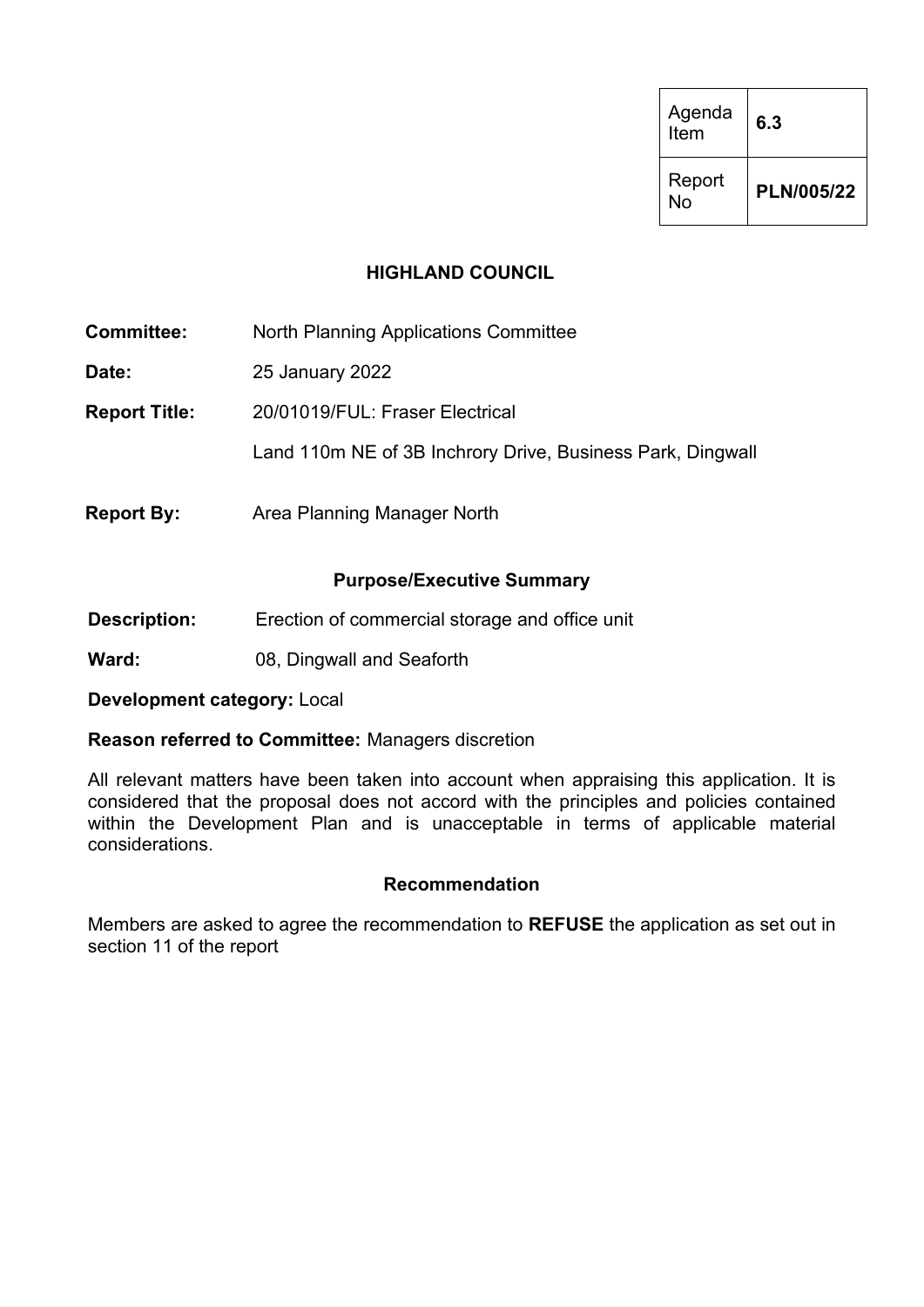| Agenda<br>Item | 6.3        |
|----------------|------------|
| Report<br>No   | PLN/005/22 |

### **HIGHLAND COUNCIL**

| <b>Committee:</b>    | <b>North Planning Applications Committee</b>               |  |  |  |  |  |
|----------------------|------------------------------------------------------------|--|--|--|--|--|
| Date:                | 25 January 2022                                            |  |  |  |  |  |
| <b>Report Title:</b> | 20/01019/FUL: Fraser Electrical                            |  |  |  |  |  |
|                      | Land 110m NE of 3B Inchrory Drive, Business Park, Dingwall |  |  |  |  |  |
| <b>Report By:</b>    | Area Planning Manager North                                |  |  |  |  |  |

### **Purpose/Executive Summary**

- **Description:** Erection of commercial storage and office unit
- **Ward:** 08, Dingwall and Seaforth

**Development category:** Local

#### **Reason referred to Committee:** Managers discretion

All relevant matters have been taken into account when appraising this application. It is considered that the proposal does not accord with the principles and policies contained within the Development Plan and is unacceptable in terms of applicable material considerations.

#### **Recommendation**

Members are asked to agree the recommendation to **REFUSE** the application as set out in section 11 of the report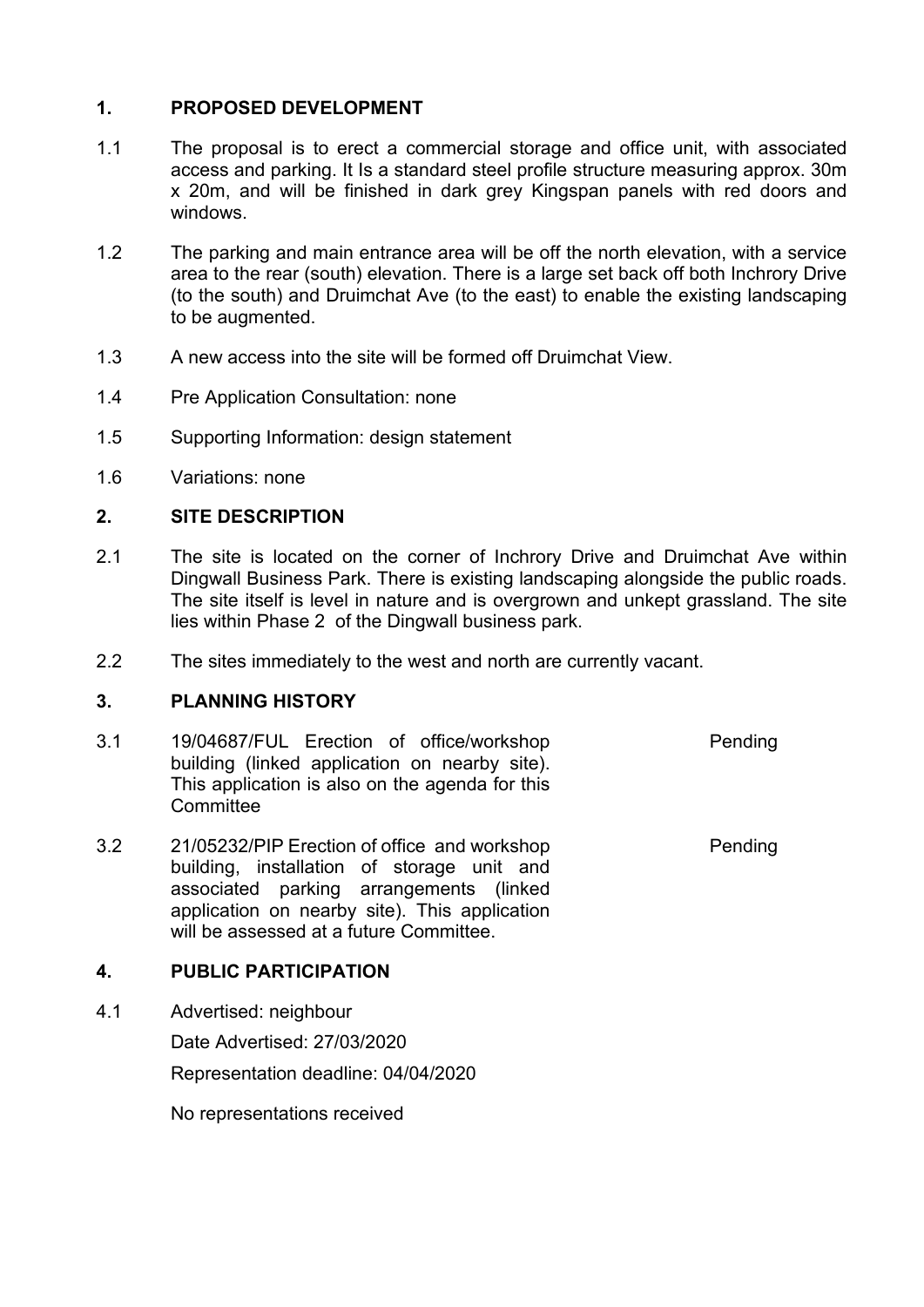## **1. PROPOSED DEVELOPMENT**

- 1.1 The proposal is to erect a commercial storage and office unit, with associated access and parking. It Is a standard steel profile structure measuring approx. 30m x 20m, and will be finished in dark grey Kingspan panels with red doors and windows.
- 1.2 The parking and main entrance area will be off the north elevation, with a service area to the rear (south) elevation. There is a large set back off both Inchrory Drive (to the south) and Druimchat Ave (to the east) to enable the existing landscaping to be augmented.
- 1.3 A new access into the site will be formed off Druimchat View.
- 1.4 Pre Application Consultation: none
- 1.5 Supporting Information: design statement
- 1.6 Variations: none

#### **2. SITE DESCRIPTION**

- 2.1 The site is located on the corner of Inchrory Drive and Druimchat Ave within Dingwall Business Park. There is existing landscaping alongside the public roads. The site itself is level in nature and is overgrown and unkept grassland. The site lies within Phase 2 of the Dingwall business park.
- 2.2 The sites immediately to the west and north are currently vacant.

#### **3. PLANNING HISTORY**

- 3.1 19/04687/FUL Erection of office/workshop building (linked application on nearby site). This application is also on the agenda for this **Committee** Pending
- 3.2 21/05232/PIP Erection of office and workshop building, installation of storage unit and associated parking arrangements (linked application on nearby site). This application will be assessed at a future Committee.

#### **4. PUBLIC PARTICIPATION**

4.1 Advertised: neighbour

Date Advertised: 27/03/2020

Representation deadline: 04/04/2020

No representations received

**Pending**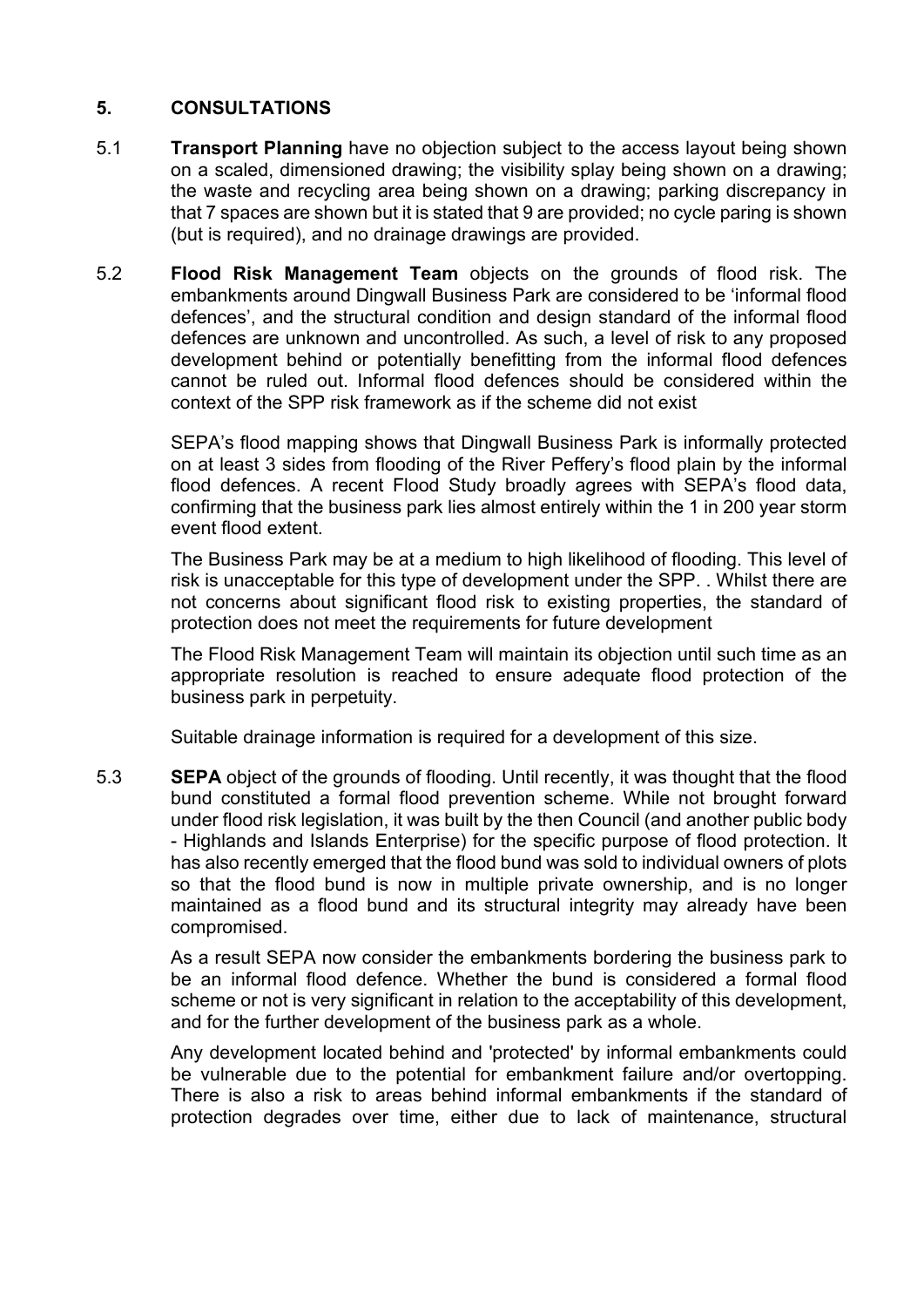## **5. CONSULTATIONS**

- 5.1 **Transport Planning** have no objection subject to the access layout being shown on a scaled, dimensioned drawing; the visibility splay being shown on a drawing; the waste and recycling area being shown on a drawing; parking discrepancy in that 7 spaces are shown but it is stated that 9 are provided; no cycle paring is shown (but is required), and no drainage drawings are provided.
- 5.2 **Flood Risk Management Team** objects on the grounds of flood risk. The embankments around Dingwall Business Park are considered to be 'informal flood defences', and the structural condition and design standard of the informal flood defences are unknown and uncontrolled. As such, a level of risk to any proposed development behind or potentially benefitting from the informal flood defences cannot be ruled out. Informal flood defences should be considered within the context of the SPP risk framework as if the scheme did not exist

SEPA's flood mapping shows that Dingwall Business Park is informally protected on at least 3 sides from flooding of the River Peffery's flood plain by the informal flood defences. A recent Flood Study broadly agrees with SEPA's flood data, confirming that the business park lies almost entirely within the 1 in 200 year storm event flood extent.

The Business Park may be at a medium to high likelihood of flooding. This level of risk is unacceptable for this type of development under the SPP. . Whilst there are not concerns about significant flood risk to existing properties, the standard of protection does not meet the requirements for future development

The Flood Risk Management Team will maintain its objection until such time as an appropriate resolution is reached to ensure adequate flood protection of the business park in perpetuity.

Suitable drainage information is required for a development of this size.

5.3 **SEPA** object of the grounds of flooding. Until recently, it was thought that the flood bund constituted a formal flood prevention scheme. While not brought forward under flood risk legislation, it was built by the then Council (and another public body - Highlands and Islands Enterprise) for the specific purpose of flood protection. It has also recently emerged that the flood bund was sold to individual owners of plots so that the flood bund is now in multiple private ownership, and is no longer maintained as a flood bund and its structural integrity may already have been compromised.

As a result SEPA now consider the embankments bordering the business park to be an informal flood defence. Whether the bund is considered a formal flood scheme or not is very significant in relation to the acceptability of this development. and for the further development of the business park as a whole.

Any development located behind and 'protected' by informal embankments could be vulnerable due to the potential for embankment failure and/or overtopping. There is also a risk to areas behind informal embankments if the standard of protection degrades over time, either due to lack of maintenance, structural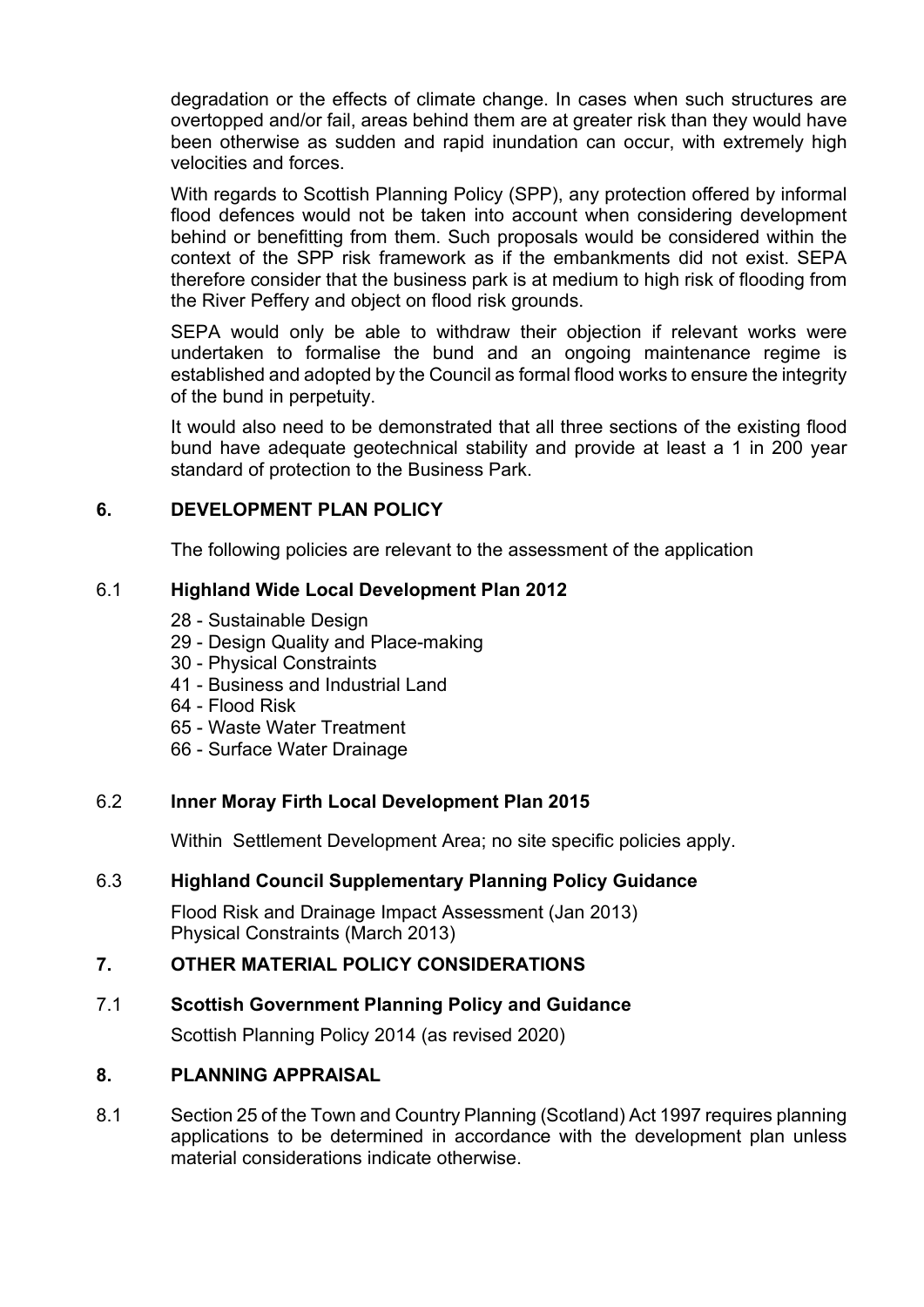degradation or the effects of climate change. In cases when such structures are overtopped and/or fail, areas behind them are at greater risk than they would have been otherwise as sudden and rapid inundation can occur, with extremely high velocities and forces.

With regards to Scottish Planning Policy (SPP), any protection offered by informal flood defences would not be taken into account when considering development behind or benefitting from them. Such proposals would be considered within the context of the SPP risk framework as if the embankments did not exist. SEPA therefore consider that the business park is at medium to high risk of flooding from the River Peffery and object on flood risk grounds.

SEPA would only be able to withdraw their objection if relevant works were undertaken to formalise the bund and an ongoing maintenance regime is established and adopted by the Council as formal flood works to ensure the integrity of the bund in perpetuity.

It would also need to be demonstrated that all three sections of the existing flood bund have adequate geotechnical stability and provide at least a 1 in 200 year standard of protection to the Business Park.

## **6. DEVELOPMENT PLAN POLICY**

The following policies are relevant to the assessment of the application

## 6.1 **Highland Wide Local Development Plan 2012**

- 28 Sustainable Design
- 29 Design Quality and Place-making
- 30 Physical Constraints
- 41 Business and Industrial Land
- 64 Flood Risk
- 65 Waste Water Treatment
- 66 Surface Water Drainage

# 6.2 **Inner Moray Firth Local Development Plan 2015**

Within Settlement Development Area; no site specific policies apply.

# 6.3 **Highland Council Supplementary Planning Policy Guidance**

Flood Risk and Drainage Impact Assessment (Jan 2013) Physical Constraints (March 2013)

## **7. OTHER MATERIAL POLICY CONSIDERATIONS**

## 7.1 **Scottish Government Planning Policy and Guidance**

Scottish Planning Policy 2014 (as revised 2020)

## **8. PLANNING APPRAISAL**

8.1 Section 25 of the Town and Country Planning (Scotland) Act 1997 requires planning applications to be determined in accordance with the development plan unless material considerations indicate otherwise.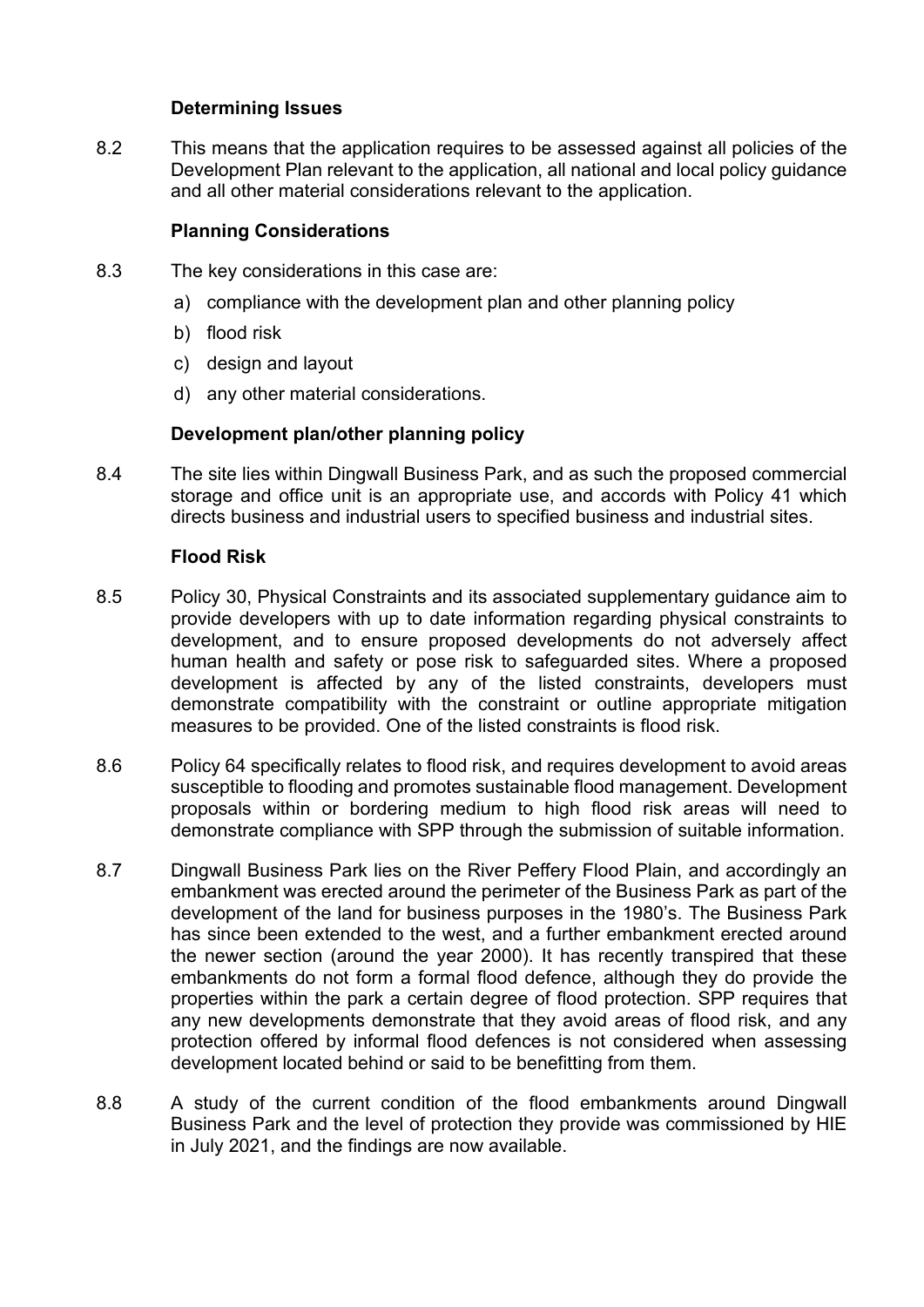### **Determining Issues**

8.2 This means that the application requires to be assessed against all policies of the Development Plan relevant to the application, all national and local policy guidance and all other material considerations relevant to the application.

### **Planning Considerations**

- 8.3 The key considerations in this case are:
	- a) compliance with the development plan and other planning policy
	- b) flood risk
	- c) design and layout
	- d) any other material considerations.

### **Development plan/other planning policy**

8.4 The site lies within Dingwall Business Park, and as such the proposed commercial storage and office unit is an appropriate use, and accords with Policy 41 which directs business and industrial users to specified business and industrial sites.

### **Flood Risk**

- 8.5 Policy 30, Physical Constraints and its associated supplementary guidance aim to provide developers with up to date information regarding physical constraints to development, and to ensure proposed developments do not adversely affect human health and safety or pose risk to safeguarded sites. Where a proposed development is affected by any of the listed constraints, developers must demonstrate compatibility with the constraint or outline appropriate mitigation measures to be provided. One of the listed constraints is flood risk.
- 8.6 Policy 64 specifically relates to flood risk, and requires development to avoid areas susceptible to flooding and promotes sustainable flood management. Development proposals within or bordering medium to high flood risk areas will need to demonstrate compliance with SPP through the submission of suitable information.
- 8.7 Dingwall Business Park lies on the River Peffery Flood Plain, and accordingly an embankment was erected around the perimeter of the Business Park as part of the development of the land for business purposes in the 1980's. The Business Park has since been extended to the west, and a further embankment erected around the newer section (around the year 2000). It has recently transpired that these embankments do not form a formal flood defence, although they do provide the properties within the park a certain degree of flood protection. SPP requires that any new developments demonstrate that they avoid areas of flood risk, and any protection offered by informal flood defences is not considered when assessing development located behind or said to be benefitting from them.
- 8.8 A study of the current condition of the flood embankments around Dingwall Business Park and the level of protection they provide was commissioned by HIE in July 2021, and the findings are now available.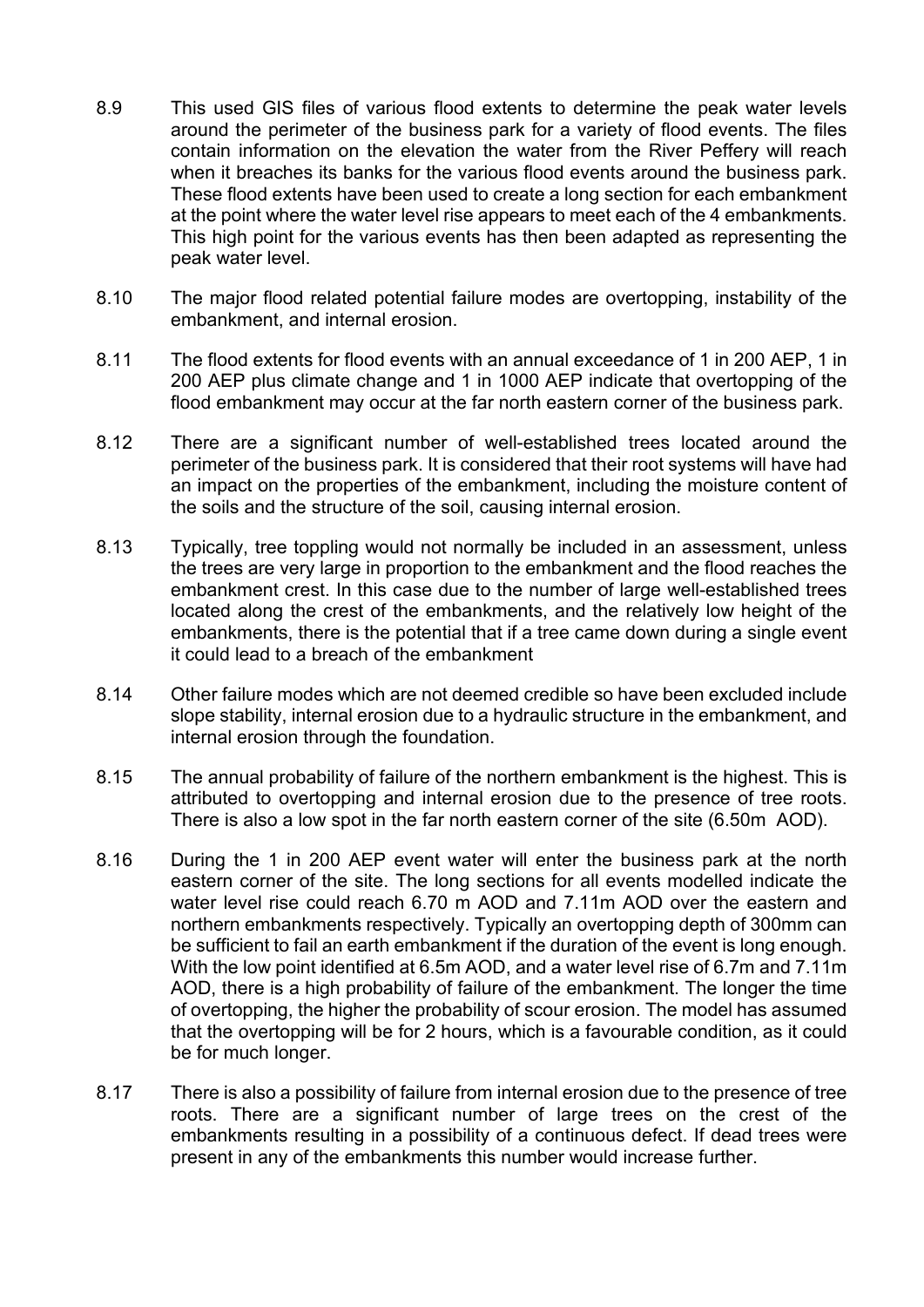- 8.9 This used GIS files of various flood extents to determine the peak water levels around the perimeter of the business park for a variety of flood events. The files contain information on the elevation the water from the River Peffery will reach when it breaches its banks for the various flood events around the business park. These flood extents have been used to create a long section for each embankment at the point where the water level rise appears to meet each of the 4 embankments. This high point for the various events has then been adapted as representing the peak water level.
- 8.10 The major flood related potential failure modes are overtopping, instability of the embankment, and internal erosion.
- 8.11 The flood extents for flood events with an annual exceedance of 1 in 200 AEP, 1 in 200 AEP plus climate change and 1 in 1000 AEP indicate that overtopping of the flood embankment may occur at the far north eastern corner of the business park.
- 8.12 There are a significant number of well-established trees located around the perimeter of the business park. It is considered that their root systems will have had an impact on the properties of the embankment, including the moisture content of the soils and the structure of the soil, causing internal erosion.
- 8.13 Typically, tree toppling would not normally be included in an assessment, unless the trees are very large in proportion to the embankment and the flood reaches the embankment crest. In this case due to the number of large well-established trees located along the crest of the embankments, and the relatively low height of the embankments, there is the potential that if a tree came down during a single event it could lead to a breach of the embankment
- 8.14 Other failure modes which are not deemed credible so have been excluded include slope stability, internal erosion due to a hydraulic structure in the embankment, and internal erosion through the foundation.
- 8.15 The annual probability of failure of the northern embankment is the highest. This is attributed to overtopping and internal erosion due to the presence of tree roots. There is also a low spot in the far north eastern corner of the site (6.50m AOD).
- 8.16 During the 1 in 200 AEP event water will enter the business park at the north eastern corner of the site. The long sections for all events modelled indicate the water level rise could reach 6.70 m AOD and 7.11m AOD over the eastern and northern embankments respectively. Typically an overtopping depth of 300mm can be sufficient to fail an earth embankment if the duration of the event is long enough. With the low point identified at 6.5m AOD, and a water level rise of 6.7m and 7.11m AOD, there is a high probability of failure of the embankment. The longer the time of overtopping, the higher the probability of scour erosion. The model has assumed that the overtopping will be for 2 hours, which is a favourable condition, as it could be for much longer.
- 8.17 There is also a possibility of failure from internal erosion due to the presence of tree roots. There are a significant number of large trees on the crest of the embankments resulting in a possibility of a continuous defect. If dead trees were present in any of the embankments this number would increase further.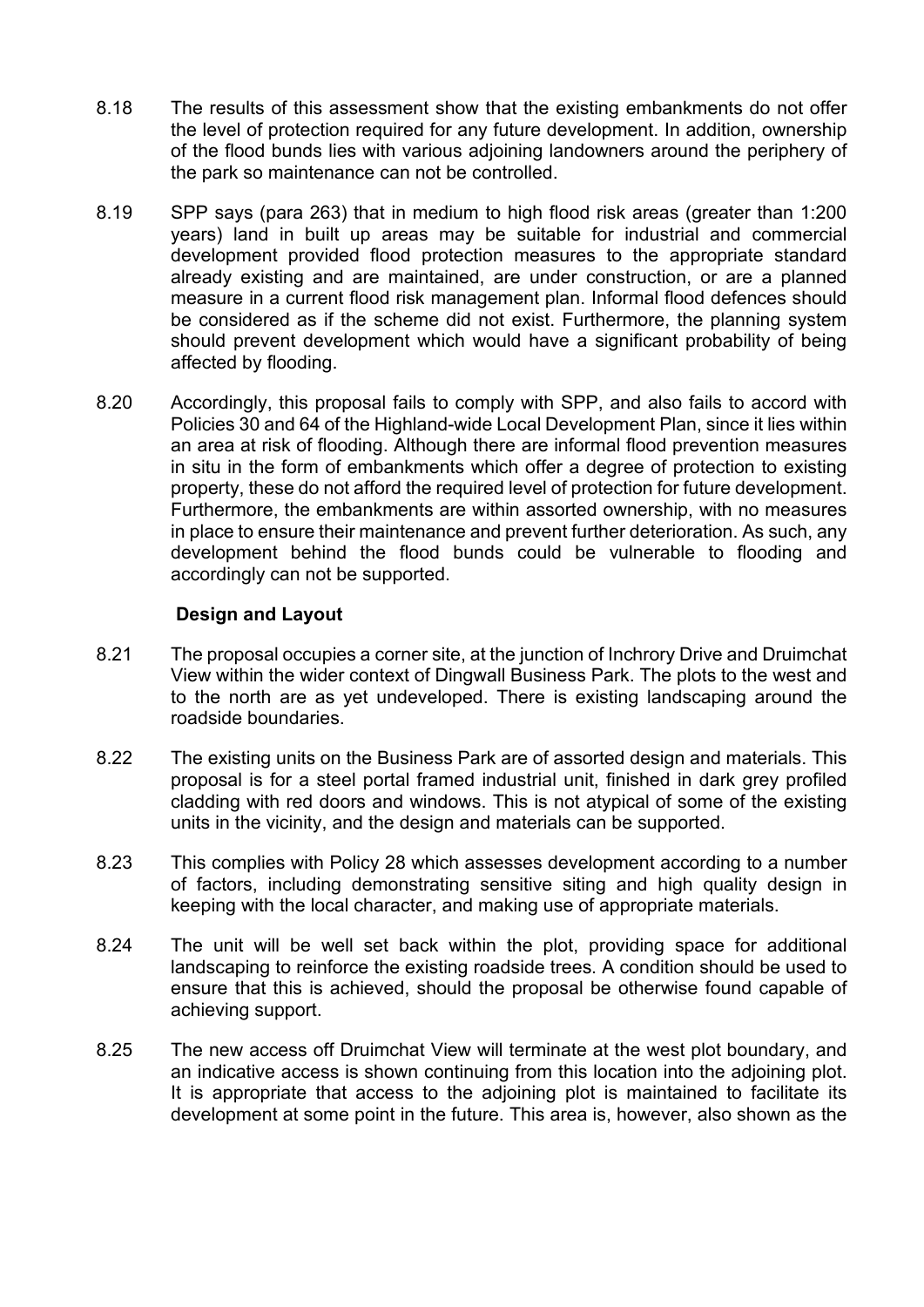- 8.18 The results of this assessment show that the existing embankments do not offer the level of protection required for any future development. In addition, ownership of the flood bunds lies with various adjoining landowners around the periphery of the park so maintenance can not be controlled.
- 8.19 SPP says (para 263) that in medium to high flood risk areas (greater than 1:200 years) land in built up areas may be suitable for industrial and commercial development provided flood protection measures to the appropriate standard already existing and are maintained, are under construction, or are a planned measure in a current flood risk management plan. Informal flood defences should be considered as if the scheme did not exist. Furthermore, the planning system should prevent development which would have a significant probability of being affected by flooding.
- 8.20 Accordingly, this proposal fails to comply with SPP, and also fails to accord with Policies 30 and 64 of the Highland-wide Local Development Plan, since it lies within an area at risk of flooding. Although there are informal flood prevention measures in situ in the form of embankments which offer a degree of protection to existing property, these do not afford the required level of protection for future development. Furthermore, the embankments are within assorted ownership, with no measures in place to ensure their maintenance and prevent further deterioration. As such, any development behind the flood bunds could be vulnerable to flooding and accordingly can not be supported.

### **Design and Layout**

- 8.21 The proposal occupies a corner site, at the junction of Inchrory Drive and Druimchat View within the wider context of Dingwall Business Park. The plots to the west and to the north are as yet undeveloped. There is existing landscaping around the roadside boundaries.
- 8.22 The existing units on the Business Park are of assorted design and materials. This proposal is for a steel portal framed industrial unit, finished in dark grey profiled cladding with red doors and windows. This is not atypical of some of the existing units in the vicinity, and the design and materials can be supported.
- 8.23 This complies with Policy 28 which assesses development according to a number of factors, including demonstrating sensitive siting and high quality design in keeping with the local character, and making use of appropriate materials.
- 8.24 The unit will be well set back within the plot, providing space for additional landscaping to reinforce the existing roadside trees. A condition should be used to ensure that this is achieved, should the proposal be otherwise found capable of achieving support.
- 8.25 The new access off Druimchat View will terminate at the west plot boundary, and an indicative access is shown continuing from this location into the adjoining plot. It is appropriate that access to the adjoining plot is maintained to facilitate its development at some point in the future. This area is, however, also shown as the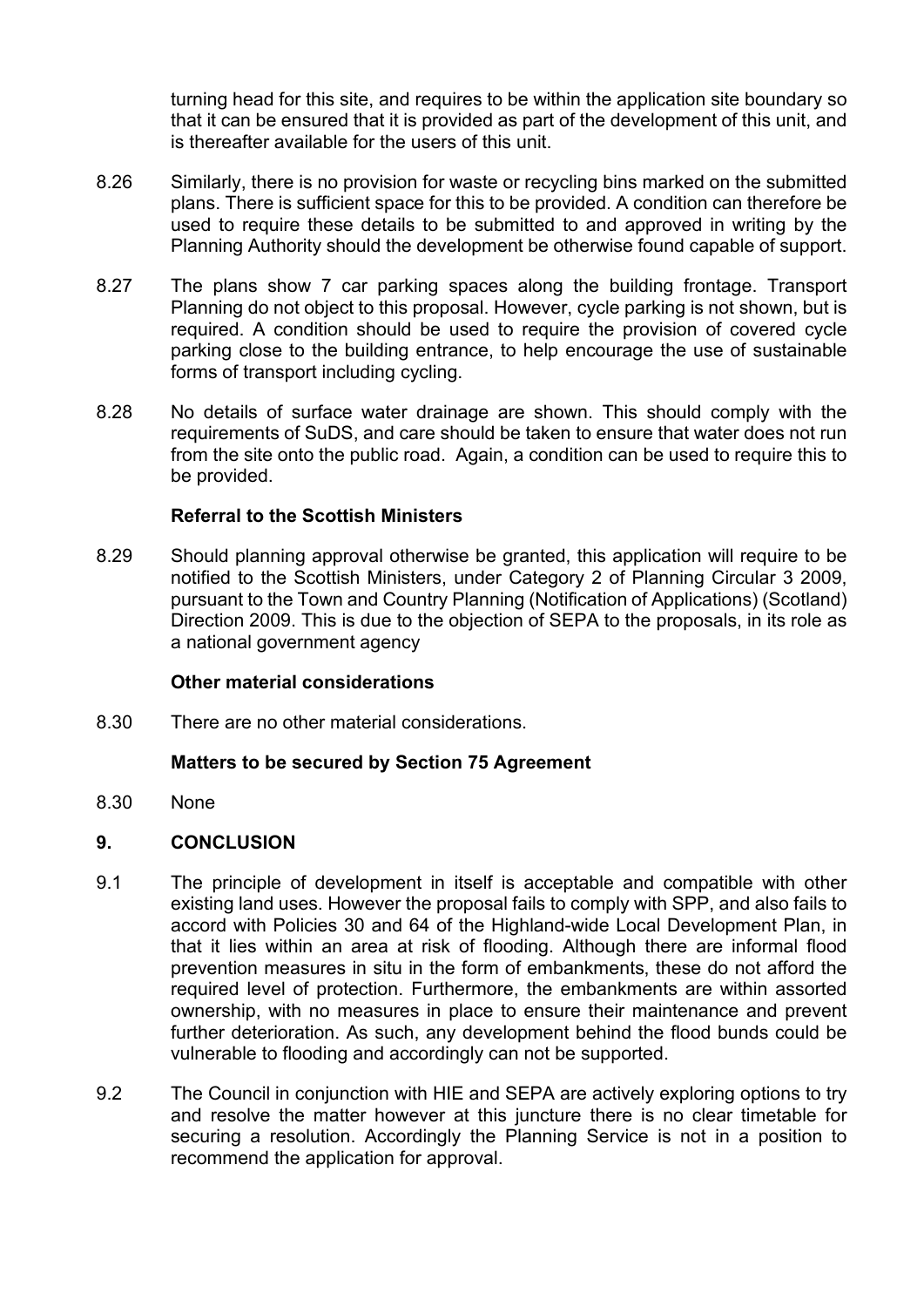turning head for this site, and requires to be within the application site boundary so that it can be ensured that it is provided as part of the development of this unit, and is thereafter available for the users of this unit.

- 8.26 Similarly, there is no provision for waste or recycling bins marked on the submitted plans. There is sufficient space for this to be provided. A condition can therefore be used to require these details to be submitted to and approved in writing by the Planning Authority should the development be otherwise found capable of support.
- 8.27 The plans show 7 car parking spaces along the building frontage. Transport Planning do not object to this proposal. However, cycle parking is not shown, but is required. A condition should be used to require the provision of covered cycle parking close to the building entrance, to help encourage the use of sustainable forms of transport including cycling.
- 8.28 No details of surface water drainage are shown. This should comply with the requirements of SuDS, and care should be taken to ensure that water does not run from the site onto the public road. Again, a condition can be used to require this to be provided.

#### **Referral to the Scottish Ministers**

8.29 Should planning approval otherwise be granted, this application will require to be notified to the Scottish Ministers, under Category 2 of Planning Circular 3 2009, pursuant to the Town and Country Planning (Notification of Applications) (Scotland) Direction 2009. This is due to the objection of SEPA to the proposals, in its role as a national government agency

#### **Other material considerations**

8.30 There are no other material considerations.

#### **Matters to be secured by Section 75 Agreement**

8.30 None

#### **9. CONCLUSION**

- 9.1 The principle of development in itself is acceptable and compatible with other existing land uses. However the proposal fails to comply with SPP, and also fails to accord with Policies 30 and 64 of the Highland-wide Local Development Plan, in that it lies within an area at risk of flooding. Although there are informal flood prevention measures in situ in the form of embankments, these do not afford the required level of protection. Furthermore, the embankments are within assorted ownership, with no measures in place to ensure their maintenance and prevent further deterioration. As such, any development behind the flood bunds could be vulnerable to flooding and accordingly can not be supported.
- 9.2 The Council in conjunction with HIE and SEPA are actively exploring options to try and resolve the matter however at this juncture there is no clear timetable for securing a resolution. Accordingly the Planning Service is not in a position to recommend the application for approval.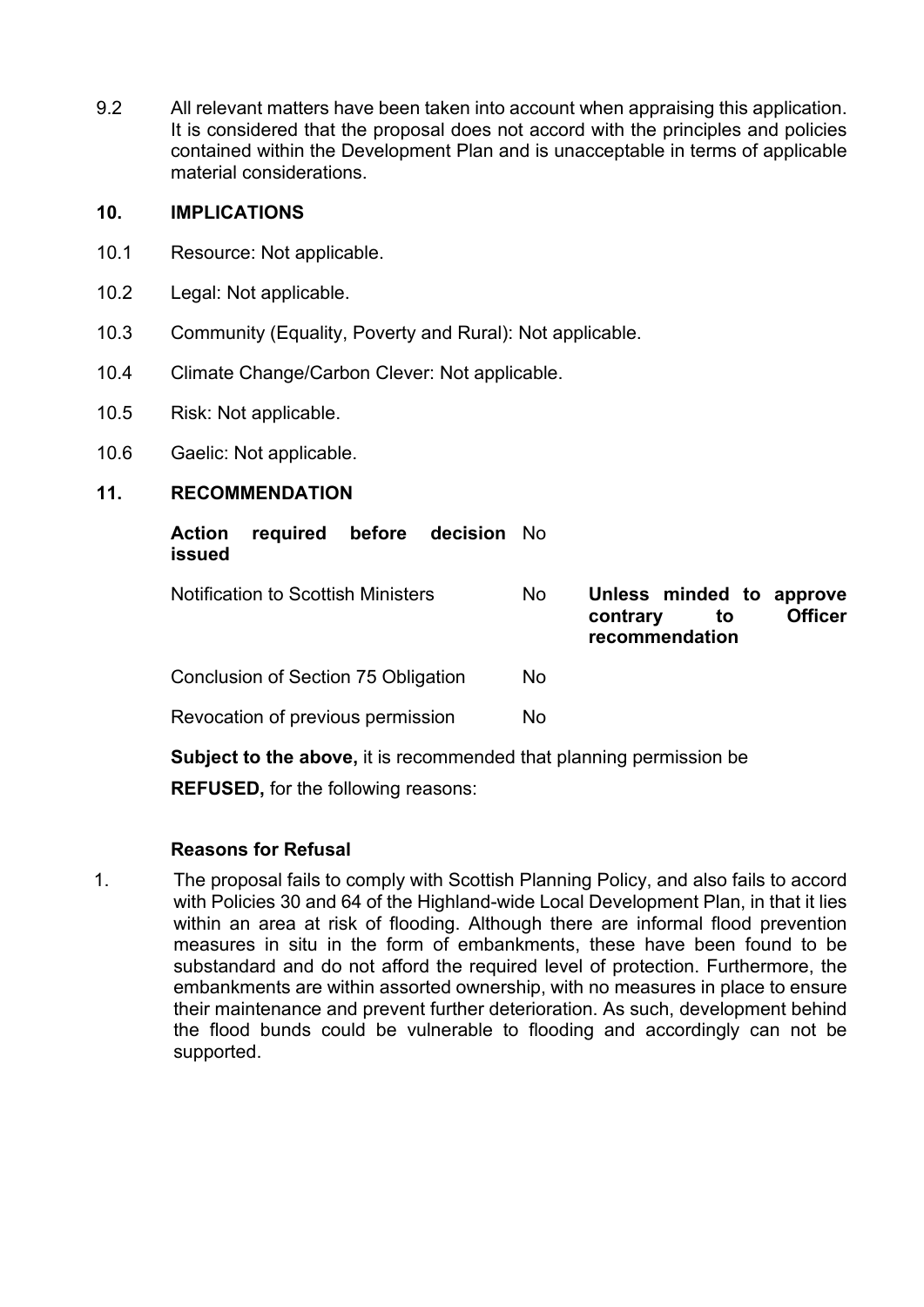9.2 All relevant matters have been taken into account when appraising this application. It is considered that the proposal does not accord with the principles and policies contained within the Development Plan and is unacceptable in terms of applicable material considerations.

#### **10. IMPLICATIONS**

- 10.1 Resource: Not applicable.
- 10.2 Legal: Not applicable.
- 10.3 Community (Equality, Poverty and Rural): Not applicable.
- 10.4 Climate Change/Carbon Clever: Not applicable.
- 10.5 Risk: Not applicable.
- 10.6 Gaelic: Not applicable.

### **11. RECOMMENDATION**

| <b>Action</b><br><b>issued</b>                                             | required before                           |  | <b>decision</b> No |     |                                                              |                |
|----------------------------------------------------------------------------|-------------------------------------------|--|--------------------|-----|--------------------------------------------------------------|----------------|
|                                                                            | <b>Notification to Scottish Ministers</b> |  |                    | No  | Unless minded to approve<br>contrary<br>to<br>recommendation | <b>Officer</b> |
|                                                                            | Conclusion of Section 75 Obligation       |  |                    | No. |                                                              |                |
| Revocation of previous permission                                          |                                           |  | No.                |     |                                                              |                |
| <b>Subject to the above, it is recommended that planning permission be</b> |                                           |  |                    |     |                                                              |                |

**REFUSED,** for the following reasons:

## **Reasons for Refusal**

1. The proposal fails to comply with Scottish Planning Policy, and also fails to accord with Policies 30 and 64 of the Highland-wide Local Development Plan, in that it lies within an area at risk of flooding. Although there are informal flood prevention measures in situ in the form of embankments, these have been found to be substandard and do not afford the required level of protection. Furthermore, the embankments are within assorted ownership, with no measures in place to ensure their maintenance and prevent further deterioration. As such, development behind the flood bunds could be vulnerable to flooding and accordingly can not be supported.